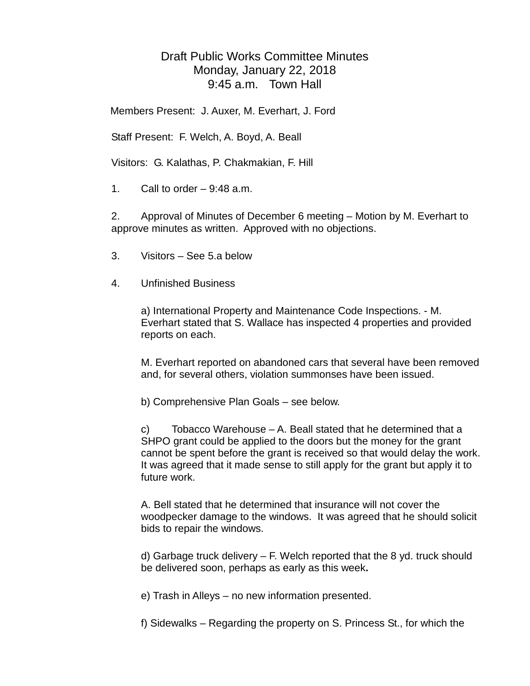## Draft Public Works Committee Minutes Monday, January 22, 2018 9:45 a.m. Town Hall

Members Present: J. Auxer, M. Everhart, J. Ford

Staff Present: F. Welch, A. Boyd, A. Beall

Visitors: G. Kalathas, P. Chakmakian, F. Hill

1. Call to order – 9:48 a.m.

2. Approval of Minutes of December 6 meeting – Motion by M. Everhart to approve minutes as written. Approved with no objections.

- 3. Visitors See 5.a below
- 4. Unfinished Business

a) International Property and Maintenance Code Inspections. - M. Everhart stated that S. Wallace has inspected 4 properties and provided reports on each.

M. Everhart reported on abandoned cars that several have been removed and, for several others, violation summonses have been issued.

b) Comprehensive Plan Goals – see below.

c) Tobacco Warehouse – A. Beall stated that he determined that a SHPO grant could be applied to the doors but the money for the grant cannot be spent before the grant is received so that would delay the work. It was agreed that it made sense to still apply for the grant but apply it to future work.

A. Bell stated that he determined that insurance will not cover the woodpecker damage to the windows. It was agreed that he should solicit bids to repair the windows.

d) Garbage truck delivery – F. Welch reported that the 8 yd. truck should be delivered soon, perhaps as early as this week**.**

e) Trash in Alleys – no new information presented.

f) Sidewalks – Regarding the property on S. Princess St., for which the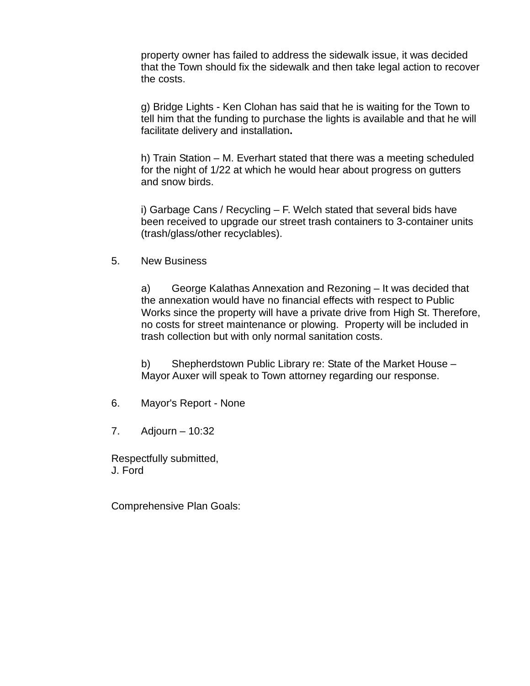property owner has failed to address the sidewalk issue, it was decided that the Town should fix the sidewalk and then take legal action to recover the costs.

g) Bridge Lights - Ken Clohan has said that he is waiting for the Town to tell him that the funding to purchase the lights is available and that he will facilitate delivery and installation**.**

h) Train Station – M. Everhart stated that there was a meeting scheduled for the night of 1/22 at which he would hear about progress on gutters and snow birds.

i) Garbage Cans / Recycling – F. Welch stated that several bids have been received to upgrade our street trash containers to 3-container units (trash/glass/other recyclables).

5. New Business

a) George Kalathas Annexation and Rezoning – It was decided that the annexation would have no financial effects with respect to Public Works since the property will have a private drive from High St. Therefore, no costs for street maintenance or plowing. Property will be included in trash collection but with only normal sanitation costs.

b) Shepherdstown Public Library re: State of the Market House – Mayor Auxer will speak to Town attorney regarding our response.

- 6. Mayor's Report None
- 7. Adjourn 10:32

Respectfully submitted, J. Ford

Comprehensive Plan Goals: